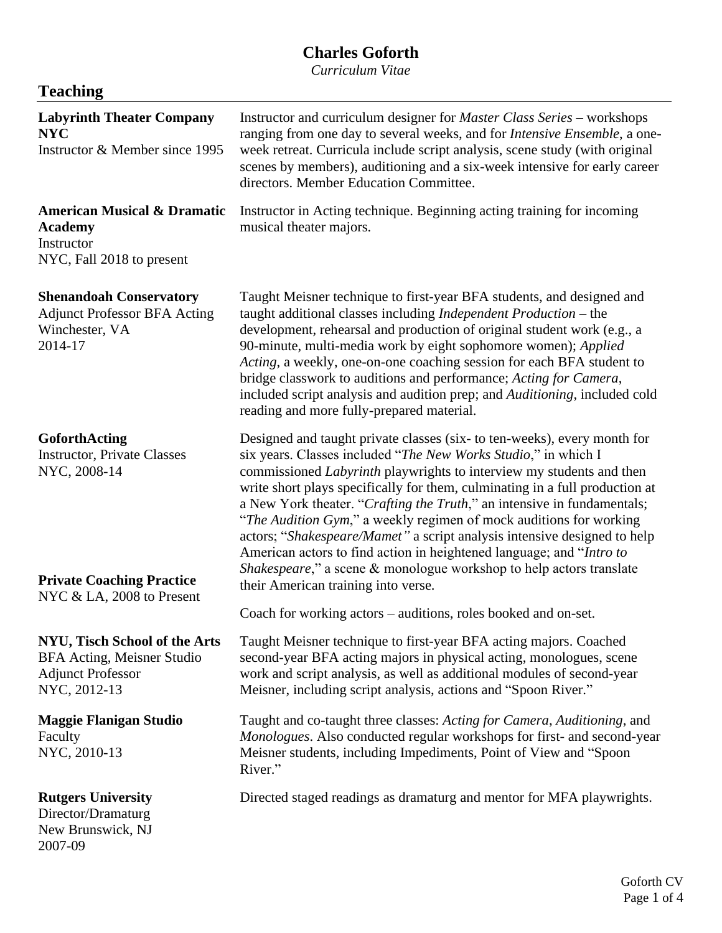# **Charles Goforth**

*Curriculum Vitae*

| <b>Teaching</b>                                                                                         |                                                                                                                                                                                                                                                                                                                                                                                                                                                                                                                                                                                                                                                                                                                              |  |  |
|---------------------------------------------------------------------------------------------------------|------------------------------------------------------------------------------------------------------------------------------------------------------------------------------------------------------------------------------------------------------------------------------------------------------------------------------------------------------------------------------------------------------------------------------------------------------------------------------------------------------------------------------------------------------------------------------------------------------------------------------------------------------------------------------------------------------------------------------|--|--|
| <b>Labyrinth Theater Company</b><br><b>NYC</b><br>Instructor & Member since 1995                        | Instructor and curriculum designer for <i>Master Class Series</i> – workshops<br>ranging from one day to several weeks, and for <i>Intensive Ensemble</i> , a one-<br>week retreat. Curricula include script analysis, scene study (with original<br>scenes by members), auditioning and a six-week intensive for early career<br>directors. Member Education Committee.                                                                                                                                                                                                                                                                                                                                                     |  |  |
| <b>American Musical &amp; Dramatic</b><br><b>Academy</b><br>Instructor<br>NYC, Fall 2018 to present     | Instructor in Acting technique. Beginning acting training for incoming<br>musical theater majors.                                                                                                                                                                                                                                                                                                                                                                                                                                                                                                                                                                                                                            |  |  |
| <b>Shenandoah Conservatory</b><br><b>Adjunct Professor BFA Acting</b><br>Winchester, VA<br>2014-17      | Taught Meisner technique to first-year BFA students, and designed and<br>taught additional classes including Independent Production - the<br>development, rehearsal and production of original student work (e.g., a<br>90-minute, multi-media work by eight sophomore women); Applied<br>Acting, a weekly, one-on-one coaching session for each BFA student to<br>bridge classwork to auditions and performance; Acting for Camera,<br>included script analysis and audition prep; and Auditioning, included cold<br>reading and more fully-prepared material.                                                                                                                                                              |  |  |
| GoforthActing<br><b>Instructor, Private Classes</b><br>NYC, 2008-14<br><b>Private Coaching Practice</b> | Designed and taught private classes (six- to ten-weeks), every month for<br>six years. Classes included "The New Works Studio," in which I<br>commissioned <i>Labyrinth</i> playwrights to interview my students and then<br>write short plays specifically for them, culminating in a full production at<br>a New York theater. "Crafting the Truth," an intensive in fundamentals;<br>"The Audition Gym," a weekly regimen of mock auditions for working<br>actors; "Shakespeare/Mamet" a script analysis intensive designed to help<br>American actors to find action in heightened language; and "Intro to<br>Shakespeare," a scene & monologue workshop to help actors translate<br>their American training into verse. |  |  |
| NYC & LA, 2008 to Present                                                                               | Coach for working actors - auditions, roles booked and on-set.                                                                                                                                                                                                                                                                                                                                                                                                                                                                                                                                                                                                                                                               |  |  |
| NYU, Tisch School of the Arts<br>BFA Acting, Meisner Studio<br><b>Adjunct Professor</b><br>NYC, 2012-13 | Taught Meisner technique to first-year BFA acting majors. Coached<br>second-year BFA acting majors in physical acting, monologues, scene<br>work and script analysis, as well as additional modules of second-year<br>Meisner, including script analysis, actions and "Spoon River."                                                                                                                                                                                                                                                                                                                                                                                                                                         |  |  |
| <b>Maggie Flanigan Studio</b><br>Faculty<br>NYC, 2010-13                                                | Taught and co-taught three classes: Acting for Camera, Auditioning, and<br>Monologues. Also conducted regular workshops for first- and second-year<br>Meisner students, including Impediments, Point of View and "Spoon<br>River."                                                                                                                                                                                                                                                                                                                                                                                                                                                                                           |  |  |
| <b>Rutgers University</b><br>Director/Dramaturg<br>New Brunswick, NJ<br>2007-09                         | Directed staged readings as dramaturg and mentor for MFA playwrights.                                                                                                                                                                                                                                                                                                                                                                                                                                                                                                                                                                                                                                                        |  |  |

 $\overline{\phantom{0}}$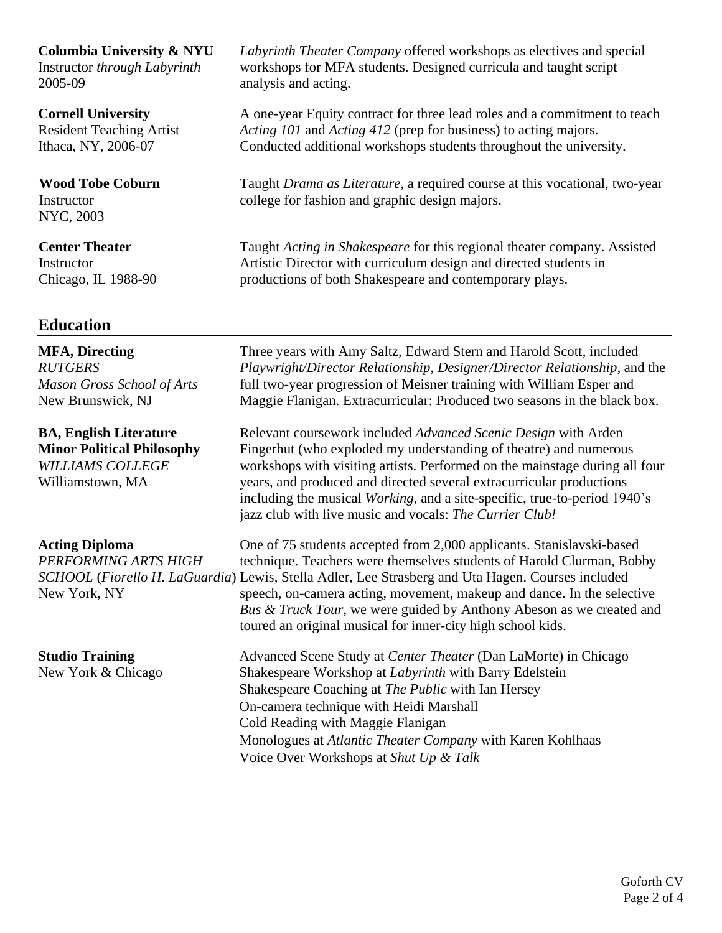**Columbia University & NYU**

Instructor *through Labyrinth* 2005-09

**Cornell University** Resident Teaching Artist Ithaca, NY, 2006-07

**Wood Tobe Coburn** Instructor NYC, 2003

**Center Theater Instructor** Chicago, IL 1988-90

# **Education**

**MFA, Directing** *RUTGERS Mason Gross School of Arts* New Brunswick, NJ

**BA, English Literature Minor Political Philosophy** *WILLIAMS COLLEGE* Williamstown, MA

**Acting Diploma** *PERFORMING ARTS HIGH*  New York, NY

**Studio Training** New York & Chicago *Labyrinth Theater Company* offered workshops as electives and special workshops for MFA students. Designed curricula and taught script analysis and acting.

A one-year Equity contract for three lead roles and a commitment to teach *Acting 101* and *Acting 412* (prep for business) to acting majors. Conducted additional workshops students throughout the university.

Taught *Drama as Literature*, a required course at this vocational, two-year college for fashion and graphic design majors.

Taught *Acting in Shakespeare* for this regional theater company. Assisted Artistic Director with curriculum design and directed students in productions of both Shakespeare and contemporary plays.

Three years with Amy Saltz, Edward Stern and Harold Scott, included *Playwright/Director Relationship*, *Designer/Director Relationship*, and the full two-year progression of Meisner training with William Esper and Maggie Flanigan. Extracurricular: Produced two seasons in the black box.

Relevant coursework included *Advanced Scenic Design* with Arden Fingerhut (who exploded my understanding of theatre) and numerous workshops with visiting artists. Performed on the mainstage during all four years, and produced and directed several extracurricular productions including the musical *Working*, and a site-specific, true-to-period 1940's jazz club with live music and vocals: *The Currier Club!*

*SCHOOL* (*Fiorello H. LaGuardia*) Lewis, Stella Adler, Lee Strasberg and Uta Hagen. Courses included One of 75 students accepted from 2,000 applicants. Stanislavski-based technique. Teachers were themselves students of Harold Clurman, Bobby speech, on-camera acting, movement, makeup and dance. In the selective *Bus & Truck Tour*, we were guided by Anthony Abeson as we created and toured an original musical for inner-city high school kids.

> Advanced Scene Study at *Center Theater* (Dan LaMorte) in Chicago Shakespeare Workshop at *Labyrinth* with Barry Edelstein Shakespeare Coaching at *The Public* with Ian Hersey On-camera technique with Heidi Marshall Cold Reading with Maggie Flanigan Monologues at *Atlantic Theater Company* with Karen Kohlhaas Voice Over Workshops at *Shut Up & Talk*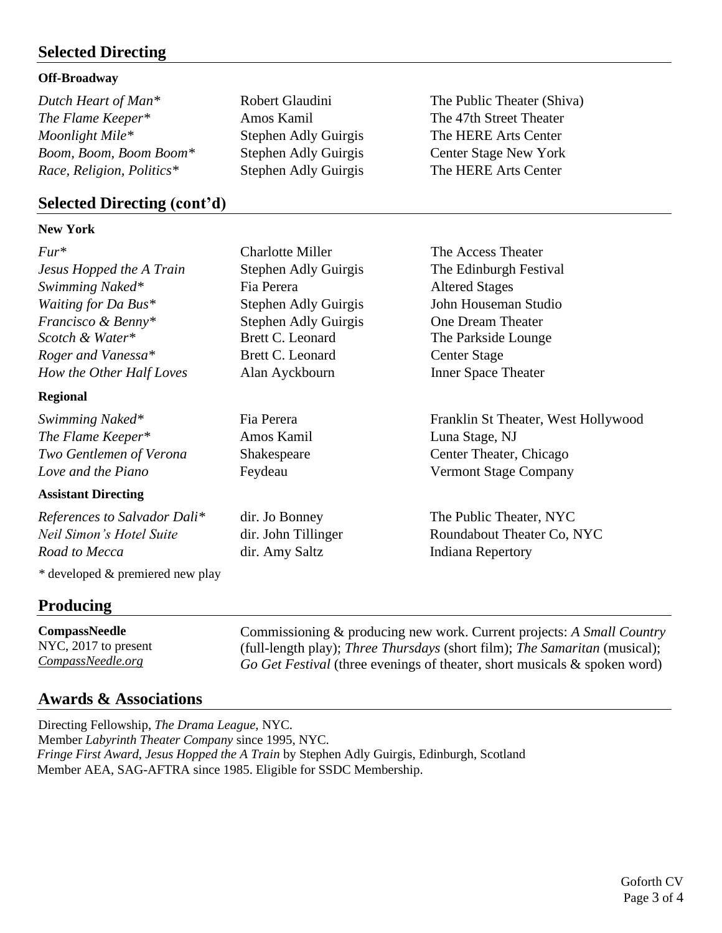## **Selected Directing**

### **Off-Broadway**

*Dutch Heart of Man<sup>\*</sup>* Robert Glaudini The Public Theater (Shiva) *The Flame Keeper\** Amos Kamil The 47th Street Theater *Moonlight Mile\** Stephen Adly Guirgis The HERE Arts Center *Boom, Boom, Boom Boom\** Stephen Adly Guirgis Center Stage New York *Race, Religion, Politics\** Stephen Adly Guirgis The HERE Arts Center

## **Selected Directing (cont'd)**

### **New York**

*Fur\** Charlotte Miller The Access Theater *Jesus Hopped the A Train* Stephen Adly Guirgis The Edinburgh Festival *Swimming Naked\** Fia Perera Altered Stages *Waiting for Da Bus\** Stephen Adly Guirgis John Houseman Studio *Francisco & Benny\** Stephen Adly Guirgis One Dream Theater *Scotch & Water\** Brett C. Leonard The Parkside Lounge *Roger and Vanessa\** Brett C. Leonard Center Stage

### **Regional**

*The Flame Keeper\** Amos Kamil Luna Stage, NJ *Two Gentlemen of Verona* Shakespeare Center Theater, Chicago *Love and the Piano* **Feydeau** Feydeau **Vermont Stage Company** 

### **Assistant Directing**

*References to Salvador Dali\** dir. Jo Bonney The Public Theater, NYC *Road to Mecca* dir. Amy Saltz Indiana Repertory

*\** developed & premiered new play

# **Producing**

**CompassNeedle** NYC, 2017 to present *CompassNeedle.org*

Commissioning & producing new work. Current projects: *A Small Country* (full-length play); *Three Thursdays* (short film); *The Samaritan* (musical); *Go Get Festival* (three evenings of theater, short musicals & spoken word)

# **Awards & Associations**

Directing Fellowship, *The Drama League,* NYC. Member *Labyrinth Theater Company* since 1995, NYC. *Fringe First Award*, *Jesus Hopped the A Train* by Stephen Adly Guirgis, Edinburgh, Scotland Member AEA, SAG-AFTRA since 1985. Eligible for SSDC Membership.

*How the Other Half Loves* Alan Ayckbourn Inner Space Theater

*Swimming Naked\** Fia Perera Franklin St Theater, West Hollywood

*Neil Simon's Hotel Suite* dir. John Tillinger Roundabout Theater Co, NYC

Goforth CV Page 3 of 4